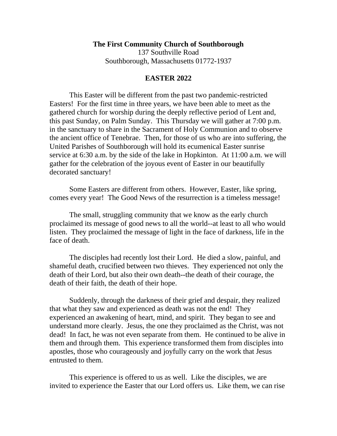## **The First Community Church of Southborough**

137 Southville Road Southborough, Massachusetts 01772-1937

## **EASTER 2022**

This Easter will be different from the past two pandemic-restricted Easters! For the first time in three years, we have been able to meet as the gathered church for worship during the deeply reflective period of Lent and, this past Sunday, on Palm Sunday. This Thursday we will gather at 7:00 p.m. in the sanctuary to share in the Sacrament of Holy Communion and to observe the ancient office of Tenebrae. Then, for those of us who are into suffering, the United Parishes of Southborough will hold its ecumenical Easter sunrise service at 6:30 a.m. by the side of the lake in Hopkinton. At 11:00 a.m. we will gather for the celebration of the joyous event of Easter in our beautifully decorated sanctuary!

Some Easters are different from others. However, Easter, like spring, comes every year! The Good News of the resurrection is a timeless message!

The small, struggling community that we know as the early church proclaimed its message of good news to all the world--at least to all who would listen. They proclaimed the message of light in the face of darkness, life in the face of death.

The disciples had recently lost their Lord. He died a slow, painful, and shameful death, crucified between two thieves. They experienced not only the death of their Lord, but also their own death--the death of their courage, the death of their faith, the death of their hope.

Suddenly, through the darkness of their grief and despair, they realized that what they saw and experienced as death was not the end! They experienced an awakening of heart, mind, and spirit. They began to see and understand more clearly. Jesus, the one they proclaimed as the Christ, was not dead! In fact, he was not even separate from them. He continued to be alive in them and through them. This experience transformed them from disciples into apostles, those who courageously and joyfully carry on the work that Jesus entrusted to them.

This experience is offered to us as well. Like the disciples, we are invited to experience the Easter that our Lord offers us. Like them, we can rise